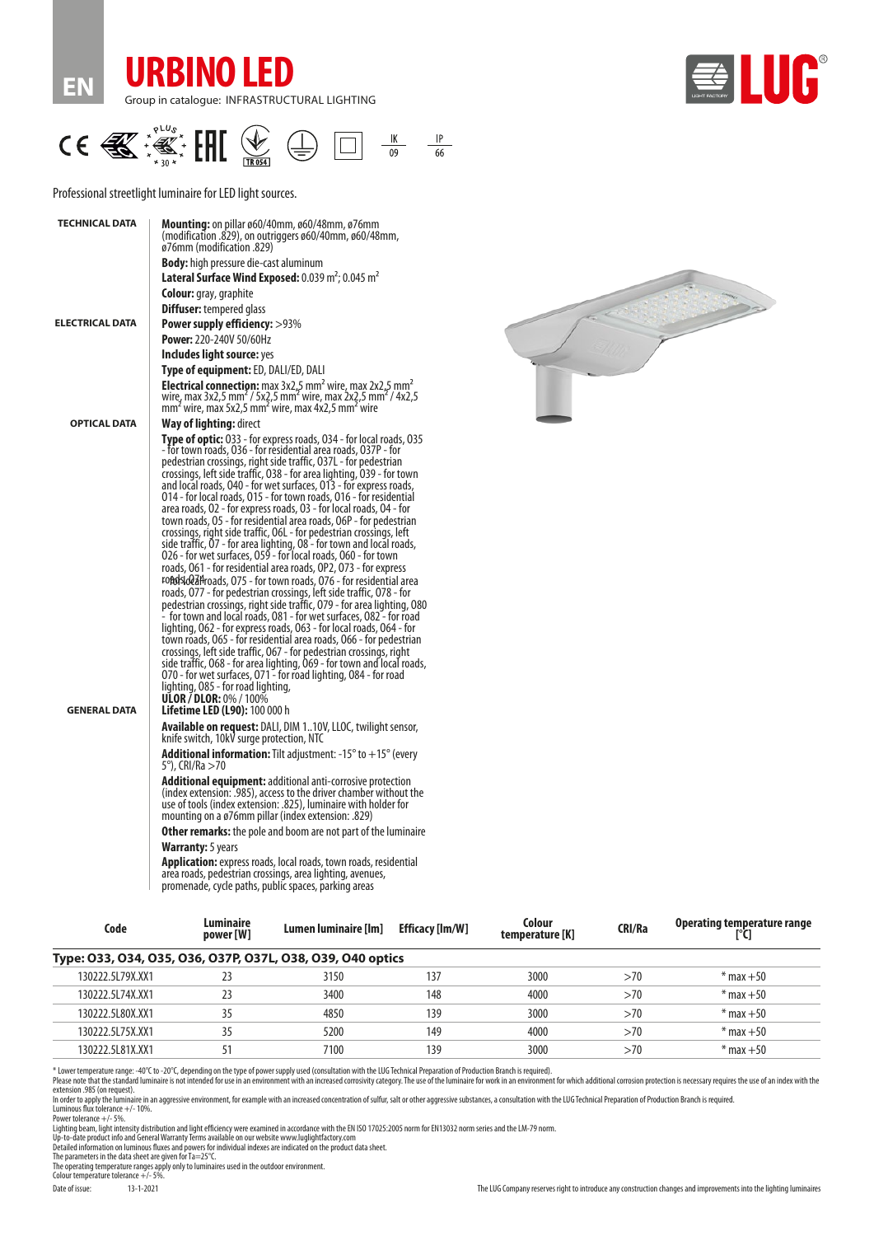





Professional streetlight luminaire for LED light sources.

| <b>TECHNICAL DATA</b> | <b>Mounting:</b> on pillar ø60/40mm, ø60/48mm, ø76mm<br>(modification .829), on outriggers ø60/40mm, ø60/48mm,<br>ø76mm (modification .829)<br><b>Body:</b> high pressure die-cast aluminum                                                                                                                                                                                                                                                                                                                                                                                                                                                                                                                                                                                                                                                                                                                                                                                                                                                                                                                                                                                                                                                                                                                                                                                                                                                                                                                                                                                                                                            |
|-----------------------|----------------------------------------------------------------------------------------------------------------------------------------------------------------------------------------------------------------------------------------------------------------------------------------------------------------------------------------------------------------------------------------------------------------------------------------------------------------------------------------------------------------------------------------------------------------------------------------------------------------------------------------------------------------------------------------------------------------------------------------------------------------------------------------------------------------------------------------------------------------------------------------------------------------------------------------------------------------------------------------------------------------------------------------------------------------------------------------------------------------------------------------------------------------------------------------------------------------------------------------------------------------------------------------------------------------------------------------------------------------------------------------------------------------------------------------------------------------------------------------------------------------------------------------------------------------------------------------------------------------------------------------|
|                       | Lateral Surface Wind Exposed: 0.039 m <sup>2</sup> ; 0.045 m <sup>2</sup>                                                                                                                                                                                                                                                                                                                                                                                                                                                                                                                                                                                                                                                                                                                                                                                                                                                                                                                                                                                                                                                                                                                                                                                                                                                                                                                                                                                                                                                                                                                                                              |
|                       | <b>Colour:</b> gray, graphite                                                                                                                                                                                                                                                                                                                                                                                                                                                                                                                                                                                                                                                                                                                                                                                                                                                                                                                                                                                                                                                                                                                                                                                                                                                                                                                                                                                                                                                                                                                                                                                                          |
|                       | <b>Diffuser:</b> tempered glass                                                                                                                                                                                                                                                                                                                                                                                                                                                                                                                                                                                                                                                                                                                                                                                                                                                                                                                                                                                                                                                                                                                                                                                                                                                                                                                                                                                                                                                                                                                                                                                                        |
| ELECTRICAL DATA       | <b>Power supply efficiency:</b> >93%                                                                                                                                                                                                                                                                                                                                                                                                                                                                                                                                                                                                                                                                                                                                                                                                                                                                                                                                                                                                                                                                                                                                                                                                                                                                                                                                                                                                                                                                                                                                                                                                   |
|                       | <b>Power: 220-240V 50/60Hz</b>                                                                                                                                                                                                                                                                                                                                                                                                                                                                                                                                                                                                                                                                                                                                                                                                                                                                                                                                                                                                                                                                                                                                                                                                                                                                                                                                                                                                                                                                                                                                                                                                         |
|                       | Includes light source: yes                                                                                                                                                                                                                                                                                                                                                                                                                                                                                                                                                                                                                                                                                                                                                                                                                                                                                                                                                                                                                                                                                                                                                                                                                                                                                                                                                                                                                                                                                                                                                                                                             |
|                       | <b>Type of equipment:</b> ED, DALI/ED, DALI                                                                                                                                                                                                                                                                                                                                                                                                                                                                                                                                                                                                                                                                                                                                                                                                                                                                                                                                                                                                                                                                                                                                                                                                                                                                                                                                                                                                                                                                                                                                                                                            |
|                       | <b>Electrical connection:</b> max $3x2.5$ mm <sup>2</sup> wire, max $2x2.5$ mm <sup>2</sup><br>wire, max 3x2,5 mm <sup>2</sup> / 5x2,5 mm <sup>2</sup> wire, max 2x2,5 mm <sup>2</sup> / 4x2,5<br>mm <sup>2</sup> wire, max 5x2,5 mm <sup>2</sup> wire, max 4x2,5 mm <sup>2</sup> wire                                                                                                                                                                                                                                                                                                                                                                                                                                                                                                                                                                                                                                                                                                                                                                                                                                                                                                                                                                                                                                                                                                                                                                                                                                                                                                                                                 |
| <b>OPTICAL DATA</b>   | <b>Way of lighting:</b> direct                                                                                                                                                                                                                                                                                                                                                                                                                                                                                                                                                                                                                                                                                                                                                                                                                                                                                                                                                                                                                                                                                                                                                                                                                                                                                                                                                                                                                                                                                                                                                                                                         |
| <b>GENERAL DATA</b>   | Type of optic: 033 - for express roads, 034 - for local roads, 035<br>- for town roads, 036 - for residential area roads, 037P - for<br>pedestrian crossings, right side traffic, 037L - for pedestrian<br>crossings, left side traffic, 038 - for area lighting, 039 - for town<br>and local roads, 040 - for wet surfaces, 013 - for express roads,<br>014 - for local roads, 015 - for town roads, 016 - for residential<br>area roads, 02 - for express roads, 03 - for local roads, 04 - for<br>town roads, 05 - for residential area roads, 06P - for pedestrian<br>crossings, right side traffic, O6L - for pedestrian crossings, left<br>side traffic, 07 - for area lighting, 08 - for town and local roads,<br>026 - for wet surfaces, 059 - for local roads, 060 - for town<br>roads, 061 - for residential area roads, OP2, 073 - for express<br>FOROSIdealHroads, 075 - for town roads, 076 - for residential area<br>roads, 077 - for pedestrian crossings, left side traffic, 078 - for<br>pedestrian crossings, right side traffic, 079 - for area lighting, 080<br>- for town and local roads, 081 - for wet surfaces, 082 - for road<br>lighting, 062 - for express roads, 063 - for local roads, 064 - for<br>town roads, 065 - for residential area roads, 066 - for pedestrian<br>crossings, left side traffic, 067 - for pedestrian crossings, right<br>side traffic, 068 - for area lighting, 069 - for town and local roads,<br>070 - for wet surfaces, 071 - for road lighting, 084 - for road<br>lighting, 085 - for road lighting,<br><b>ULOR / DLOR:</b> 0% / 100%<br><b>Lifetime LED (L90):</b> 100 000 h |
|                       | <b>Available on request:</b> DALI, DIM 110V, LLOC, twilight sensor,<br>knife switch, 10kV surge protection, NTC                                                                                                                                                                                                                                                                                                                                                                                                                                                                                                                                                                                                                                                                                                                                                                                                                                                                                                                                                                                                                                                                                                                                                                                                                                                                                                                                                                                                                                                                                                                        |
|                       | <b>Additional information:</b> Tilt adjustment: -15 $^{\circ}$ to $+15^{\circ}$ (every<br>5°), CRI/Ra >70                                                                                                                                                                                                                                                                                                                                                                                                                                                                                                                                                                                                                                                                                                                                                                                                                                                                                                                                                                                                                                                                                                                                                                                                                                                                                                                                                                                                                                                                                                                              |
|                       | <b>Additional equipment:</b> additional anti-corrosive protection<br>(index extension: .985), access to the driver chamber without the<br>use of tools (index extension: .825), luminaire with holder for<br>mounting on a ø76mm pillar (index extension: .829)                                                                                                                                                                                                                                                                                                                                                                                                                                                                                                                                                                                                                                                                                                                                                                                                                                                                                                                                                                                                                                                                                                                                                                                                                                                                                                                                                                        |
|                       | <b>Other remarks:</b> the pole and boom are not part of the luminaire                                                                                                                                                                                                                                                                                                                                                                                                                                                                                                                                                                                                                                                                                                                                                                                                                                                                                                                                                                                                                                                                                                                                                                                                                                                                                                                                                                                                                                                                                                                                                                  |
|                       | <b>Warranty:</b> 5 years                                                                                                                                                                                                                                                                                                                                                                                                                                                                                                                                                                                                                                                                                                                                                                                                                                                                                                                                                                                                                                                                                                                                                                                                                                                                                                                                                                                                                                                                                                                                                                                                               |
|                       | <b>Application:</b> express roads, local roads, town roads, residential<br>area roads, pedestrian crossings, area lighting, avenues,<br>promenade, cycle paths, public spaces, parking areas                                                                                                                                                                                                                                                                                                                                                                                                                                                                                                                                                                                                                                                                                                                                                                                                                                                                                                                                                                                                                                                                                                                                                                                                                                                                                                                                                                                                                                           |

| Code                                                       | Luminaire<br>power [W] | Lumen luminaire [Im] | Efficacy [lm/W] | Colour<br>temperature [K] | <b>CRI/Ra</b> | Operating temperature range |
|------------------------------------------------------------|------------------------|----------------------|-----------------|---------------------------|---------------|-----------------------------|
| Type: 033, 034, 035, 036, 037P, 037L, 038, 039, 040 optics |                        |                      |                 |                           |               |                             |
| 130222.5L79X.XX1                                           | 23                     | 3150                 | 137             | 3000                      | >70           | $*$ max $+50$               |
| 130222.5L74X.XX1                                           | 23                     | 3400                 | 148             | 4000                      | >70           | $*$ max $+50$               |
| 130222.5L80X.XX1                                           | 35                     | 4850                 | 139             | 3000                      | >70           | $*$ max $+50$               |
| 130222.5L75X.XX1                                           | 35                     | 5200                 | 149             | 4000                      | >70           | $*$ max $+50$               |
| 130222.5L81X.XX1                                           | 51                     | 7100                 | 139             | 3000                      | >70           | $*$ max $+50$               |

\* Lower temperature range: -40°C to -20°C, depending on the type of power supply used (consultation with the LUG Technical Preparation of Production Branch is required).

Please note that the standard luminaire is not intended for use in an environment with an increased corrosivity category. The use of the luminaire for work in an environment for which additional corrosion protection is nec

Luminous flux tolerance +/- 10%. Power tolerance +/- 5%.

L.  $\overline{\phantom{a}}$ 

Lighting beam, light intensity distribution and light efficiency were examined in accordance with the EN ISO 17025:2005 norm for EN13032 norm series and the LM-79 norm.<br>Up-to-date product info and General Warranty Terms av

The parameters in the data sheet are given for Ta=25°C. The operating temperature ranges apply only to luminaires used in the outdoor environment. Colour temperature tolerance +/- 5%.

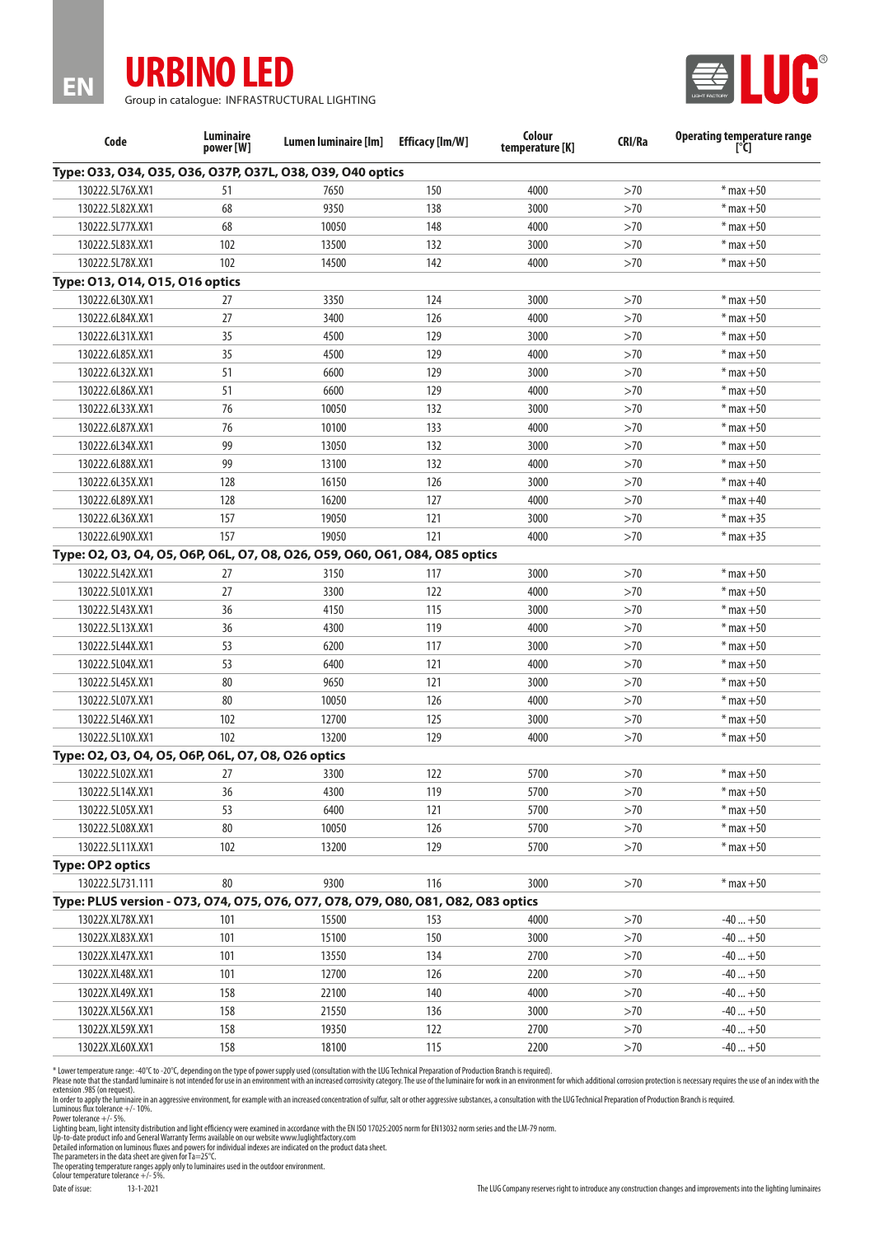

**EN**

Group in catalogue: INFRASTRUCTURAL LIGHTING



| Code                                                                              | <b>Luminaire</b><br>power [W] | Lumen luminaire [lm] | <b>Efficacy [Im/W]</b> | Colour<br>temperature [K] | <b>CRI/Ra</b> | <b>Operating temperature range</b><br>$[^{\circ}C]$ |
|-----------------------------------------------------------------------------------|-------------------------------|----------------------|------------------------|---------------------------|---------------|-----------------------------------------------------|
| Type: 033, 034, 035, 036, 037P, 037L, 038, 039, 040 optics                        |                               |                      |                        |                           |               |                                                     |
| 130222.5L76X.XX1                                                                  | 51                            | 7650                 | 150                    | 4000                      | >70           | $*$ max $+50$                                       |
| 130222.5L82X.XX1                                                                  | 68                            | 9350                 | 138                    | 3000                      | >70           | $*$ max $+50$                                       |
| 130222.5L77X.XX1                                                                  | 68                            | 10050                | 148                    | 4000                      | >70           | $*$ max $+50$                                       |
| 130222.5L83X.XX1                                                                  | 102                           | 13500                | 132                    | 3000                      | >70           | $*$ max $+50$                                       |
| 130222.5L78X.XX1                                                                  | 102                           | 14500                | 142                    | 4000                      | >70           | $*$ max $+50$                                       |
| Type: 013, 014, 015, 016 optics                                                   |                               |                      |                        |                           |               |                                                     |
| 130222.6L30X.XX1                                                                  | 27                            | 3350                 | 124                    | 3000                      | >70           | $*$ max $+50$                                       |
| 130222.6L84X.XX1                                                                  | 27                            | 3400                 | 126                    | 4000                      | >70           | $*$ max $+50$                                       |
| 130222.6L31X.XX1                                                                  | 35                            | 4500                 | 129                    | 3000                      | >70           | $*$ max $+50$                                       |
| 130222.6L85X.XX1                                                                  | 35                            | 4500                 | 129                    | 4000                      | >70           | $*$ max $+50$                                       |
| 130222.6L32X.XX1                                                                  | 51                            | 6600                 | 129                    | 3000                      | >70           | $*$ max $+50$                                       |
| 130222.6L86X.XX1                                                                  | 51                            | 6600                 | 129                    | 4000                      | >70           | $*$ max $+50$                                       |
| 130222.6L33X.XX1                                                                  | 76                            | 10050                | 132                    | 3000                      | >70           | $*$ max $+50$                                       |
| 130222.6L87X.XX1                                                                  | 76                            | 10100                | 133                    | 4000                      | >70           | $*$ max $+50$                                       |
| 130222.6L34X.XX1                                                                  | 99                            | 13050                | 132                    | 3000                      | >70           | $*$ max $+50$                                       |
| 130222.6L88X.XX1                                                                  | 99                            | 13100                | 132                    | 4000                      | >70           | $*$ max $+50$                                       |
| 130222.6L35X.XX1                                                                  | 128                           | 16150                | 126                    | 3000                      | >70           | $*$ max $+40$                                       |
| 130222.6L89X.XX1                                                                  | 128                           | 16200                | 127                    | 4000                      | >70           | $*$ max $+40$                                       |
| 130222.6L36X.XX1                                                                  | 157                           | 19050                | 121                    | 3000                      | >70           | $*$ max $+35$                                       |
| 130222.6L90X.XX1                                                                  | 157                           | 19050                | 121                    | 4000                      | >70           | $*$ max $+35$                                       |
| Type: 02, 03, 04, 05, 06P, 06L, 07, 08, 026, 059, 060, 061, 084, 085 optics       |                               |                      |                        |                           |               |                                                     |
| 130222.5L42X.XX1                                                                  | 27                            | 3150                 | 117                    | 3000                      | >70           | $*$ max $+50$                                       |
| 130222.5L01X.XX1                                                                  | 27                            | 3300                 | 122                    | 4000                      | >70           | $*$ max $+50$                                       |
| 130222.5L43X.XX1                                                                  | 36                            | 4150                 | 115                    | 3000                      | >70           | $*$ max $+50$                                       |
| 130222.5L13X.XX1                                                                  | 36                            | 4300                 | 119                    | 4000                      | >70           | $*$ max $+50$                                       |
| 130222.5L44X.XX1                                                                  | 53                            | 6200                 | 117                    | 3000                      | >70           | $*$ max $+50$                                       |
| 130222.5L04X.XX1                                                                  | 53                            | 6400                 | 121                    | 4000                      | >70           | $*$ max $+50$                                       |
| 130222.5L45X.XX1                                                                  | 80                            | 9650                 | 121                    | 3000                      | >70           | $*$ max $+50$                                       |
| 130222.5L07X.XX1                                                                  | 80                            | 10050                | 126                    | 4000                      | >70           | $*$ max $+50$                                       |
| 130222.5L46X.XX1                                                                  | 102                           | 12700                | 125                    | 3000                      | >70           | $*$ max $+50$                                       |
| 130222.5L10X.XX1                                                                  | 102                           | 13200                | 129                    | 4000                      | >70           | $*$ max $+50$                                       |
| Type: 02, 03, 04, 05, 06P, 06L, 07, 08, 026 optics                                |                               |                      |                        |                           |               |                                                     |
| 130222.5L02X.XX1                                                                  | 27                            | 3300                 | 122                    | 5700                      | >70           | $*$ max +50                                         |
| 130222.5L14X.XX1                                                                  | 36                            | 4300                 | 119                    | 5700                      | >70           | $*$ max $+50$                                       |
| 130222.5L05X.XX1                                                                  | 53                            | 6400                 | 121                    | 5700                      | >70           | $*$ max $+50$                                       |
| 130222.5L08X.XX1                                                                  | 80                            | 10050                | 126                    | 5700                      | >70           | $*$ max $+50$                                       |
| 130222.5L11X.XX1                                                                  | 102                           | 13200                | 129                    | 5700                      | >70           | $*$ max $+50$                                       |
| <b>Type: OP2 optics</b>                                                           |                               |                      |                        |                           |               |                                                     |
| 130222.5L731.111                                                                  | 80                            | 9300                 | 116                    | 3000                      | $>70$         | $*$ max $+50$                                       |
| Type: PLUS version - 073, 074, 075, 076, 077, 078, 079, 080, 081, 082, 083 optics |                               |                      |                        |                           |               |                                                     |
| 13022X.XL78X.XX1                                                                  | 101                           | 15500                | 153                    | 4000                      | >70           | $-40+50$                                            |
| 13022X.XL83X.XX1                                                                  | 101                           | 15100                | 150                    | 3000                      | >70           | $-40+50$                                            |
| 13022X.XL47X.XX1                                                                  | 101                           | 13550                | 134                    | 2700                      | >70           | $-40+50$                                            |
| 13022X.XL48X.XX1                                                                  | 101                           | 12700                | 126                    | 2200                      | >70           | $-40+50$                                            |
| 13022X.XL49X.XX1                                                                  | 158                           | 22100                | 140                    | 4000                      | >70           | $-40+50$                                            |
| 13022X.XL56X.XX1                                                                  | 158                           | 21550                | 136                    | 3000                      | >70           | $-40+50$                                            |
| 13022X.XL59X.XX1                                                                  | 158                           | 19350                | 122                    | 2700                      | >70           | $-40+50$                                            |
| 13022X.XL60X.XX1                                                                  | 158                           | 18100                | 115                    | 2200                      | >70           | $-40+50$                                            |

\* Lower temperature range: -40°C to -20°C, depending on the type of power supply used (consultation with the LUG Technical Preparation of Production Branch is required).<br>Please note that the standard luminaire in only cons

Lighting beam, light intensity distribution and light efficiency were examined in accordance with the EN ISO 17025:2005 norm for EN 13032 norm series and the LM-79 norm.<br>Up-to-date product info and General Warranty Terms a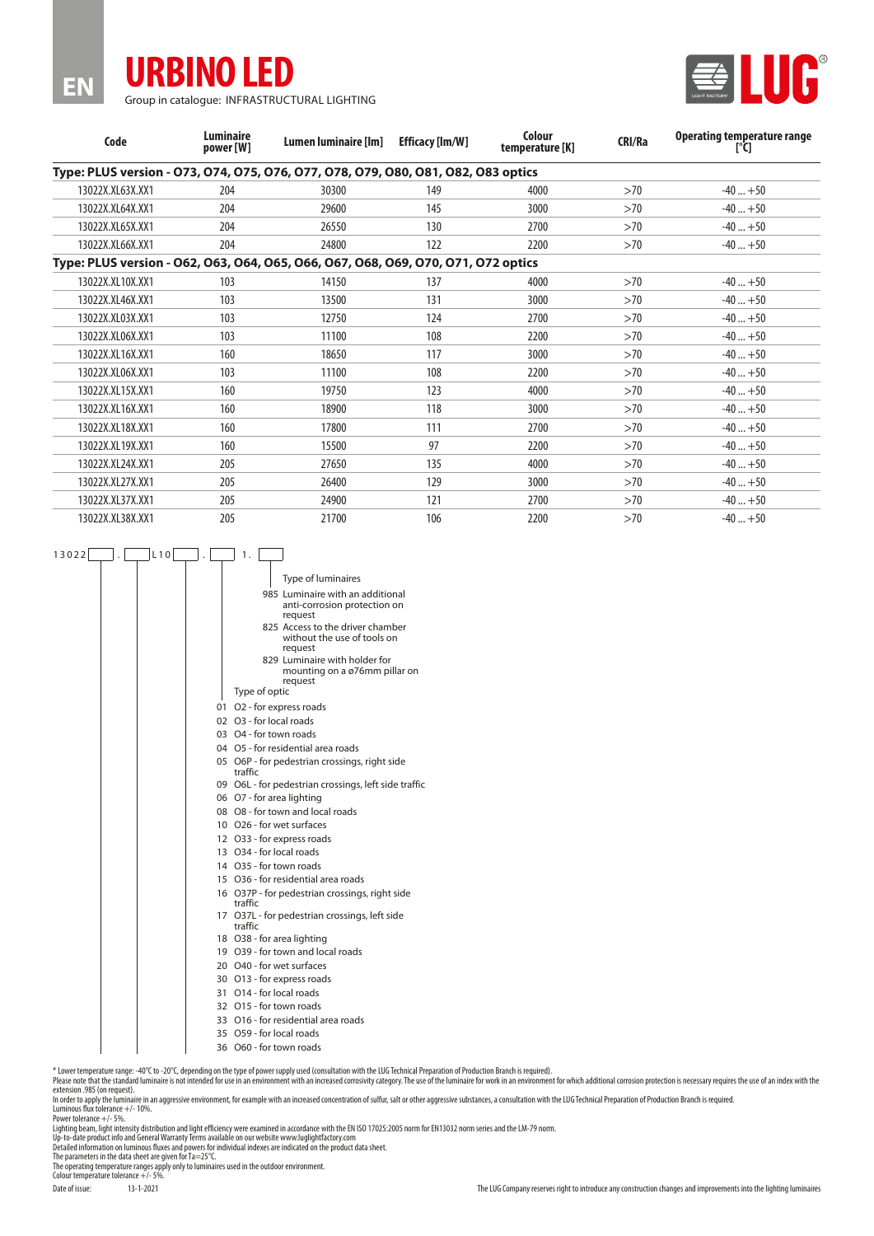

**EN**

Group in catalogue: INFRASTRUCTURAL LIGHTING



| Code             | <b>Luminaire</b><br>power [W] | Lumen luminaire [lm]                                                              | <b>Efficacy [lm/W]</b> | Colour<br>temperature [K] | CRI/Ra | Operating temperature range<br>ľU |
|------------------|-------------------------------|-----------------------------------------------------------------------------------|------------------------|---------------------------|--------|-----------------------------------|
|                  |                               | Type: PLUS version - 073, 074, 075, 076, 077, 078, 079, 080, 081, 082, 083 optics |                        |                           |        |                                   |
| 13022X.XL63X.XX1 | 204                           | 30300                                                                             | 149                    | 4000                      | >70    | $-40+50$                          |
| 13022X.XL64X.XX1 | 204                           | 29600                                                                             | 145                    | 3000                      | >70    | $-40+50$                          |
| 13022X.XL65X.XX1 | 204                           | 26550                                                                             | 130                    | 2700                      | >70    | $-40+50$                          |
| 13022X.XL66X.XX1 | 204                           | 24800                                                                             | 122                    | 2200                      | >70    | $-40+50$                          |
|                  |                               | Type: PLUS version - 062, 063, 064, 065, 066, 067, 068, 069, 070, 071, 072 optics |                        |                           |        |                                   |
| 13022X.XL10X.XX1 | 103                           | 14150                                                                             | 137                    | 4000                      | >70    | $-40+50$                          |
| 13022X.XL46X.XX1 | 103                           | 13500                                                                             | 131                    | 3000                      | >70    | $-40+50$                          |
| 13022X.XL03X.XX1 | 103                           | 12750                                                                             | 124                    | 2700                      | >70    | $-40+50$                          |
| 13022X.XL06X.XX1 | 103                           | 11100                                                                             | 108                    | 2200                      | >70    | $-40+50$                          |
| 13022X.XL16X.XX1 | 160                           | 18650                                                                             | 117                    | 3000                      | >70    | $-40+50$                          |
| 13022X.XL06X.XX1 | 103                           | 11100                                                                             | 108                    | 2200                      | >70    | $-40+50$                          |
| 13022X.XL15X.XX1 | 160                           | 19750                                                                             | 123                    | 4000                      | >70    | $-40+50$                          |
| 13022X.XL16X.XX1 | 160                           | 18900                                                                             | 118                    | 3000                      | >70    | $-40+50$                          |
| 13022X.XL18X.XX1 | 160                           | 17800                                                                             | 111                    | 2700                      | >70    | $-40+50$                          |
| 13022X.XL19X.XX1 | 160                           | 15500                                                                             | 97                     | 2200                      | >70    | $-40+50$                          |
| 13022X.XL24X.XX1 | 205                           | 27650                                                                             | 135                    | 4000                      | >70    | $-40+50$                          |
| 13022X.XL27X.XX1 | 205                           | 26400                                                                             | 129                    | 3000                      | >70    | $-40+50$                          |
| 13022X.XL37X.XX1 | 205                           | 24900                                                                             | 121                    | 2700                      | >70    | $-40+50$                          |
| 13022X.XL38X.XX1 | 205                           | 21700                                                                             | 106                    | 2200                      | >70    | $-40+50$                          |
|                  |                               |                                                                                   |                        |                           |        |                                   |

| 13022 | L10 | 1.                                                                          |
|-------|-----|-----------------------------------------------------------------------------|
|       |     | <b>Type of luminaires</b>                                                   |
|       |     | 985 Luminaire with an additional<br>anti-corrosion protection on<br>request |
|       |     | 825 Access to the driver chamber<br>without the use of tools on<br>request  |
|       |     | 829 Luminaire with holder for<br>mounting on a ø76mm pillar on<br>request   |
|       |     | Type of optic                                                               |
|       |     | 01 O2 - for express roads                                                   |
|       |     | 02 O3 - for local roads                                                     |
|       |     | 03 O4 - for town roads                                                      |
|       |     | 04 O5 - for residential area roads                                          |
|       |     | 05 O6P - for pedestrian crossings, right side<br>traffic                    |
|       |     | 09 O6L - for pedestrian crossings, left side traffic                        |
|       |     | 06 O7 - for area lighting                                                   |
|       |     | 08 O8 - for town and local roads                                            |
|       |     | 10 O26 - for wet surfaces                                                   |
|       |     | 12 O33 - for express roads                                                  |
|       |     | 13 O34 - for local roads                                                    |
|       |     | 14 O35 - for town roads                                                     |
|       |     | 15 O36 - for residential area roads                                         |
|       |     | 16 O37P - for pedestrian crossings, right side<br>traffic                   |
|       |     | 17 O37L - for pedestrian crossings, left side<br>traffic                    |
|       |     | 18 O38 - for area lighting                                                  |
|       |     | 19 O39 - for town and local roads                                           |
|       |     | 20 O40 - for wet surfaces                                                   |
|       |     | 30 O13 - for express roads                                                  |
|       |     | 31 O14 - for local roads                                                    |
|       |     | 32 O15 - for town roads                                                     |
|       |     | 33 O16 - for residential area roads                                         |
|       |     | $25.056$ $(1)$ $(1)$                                                        |

- 33 O16 for residential area roads
- 35 O59 for local roads
- 36 O60 for town roads

\* Lower temperature range: -40°C to -20°C, depending on the type of power supply used (consultation with the LUG Technical Preparation of Production Branch is required).<br>Please note that the standard luminaire is not inten

Luminous flux tolerance +/- 10%. Power tolerance +/- 5%.

Lighting beam, light intensity distribution and light efficiency were examined in accordance with the EN ISO 17025:2005 norm for EN 13032 norm series and the LM-79 norm.<br>Up-to-date product info and General Warranty Terms a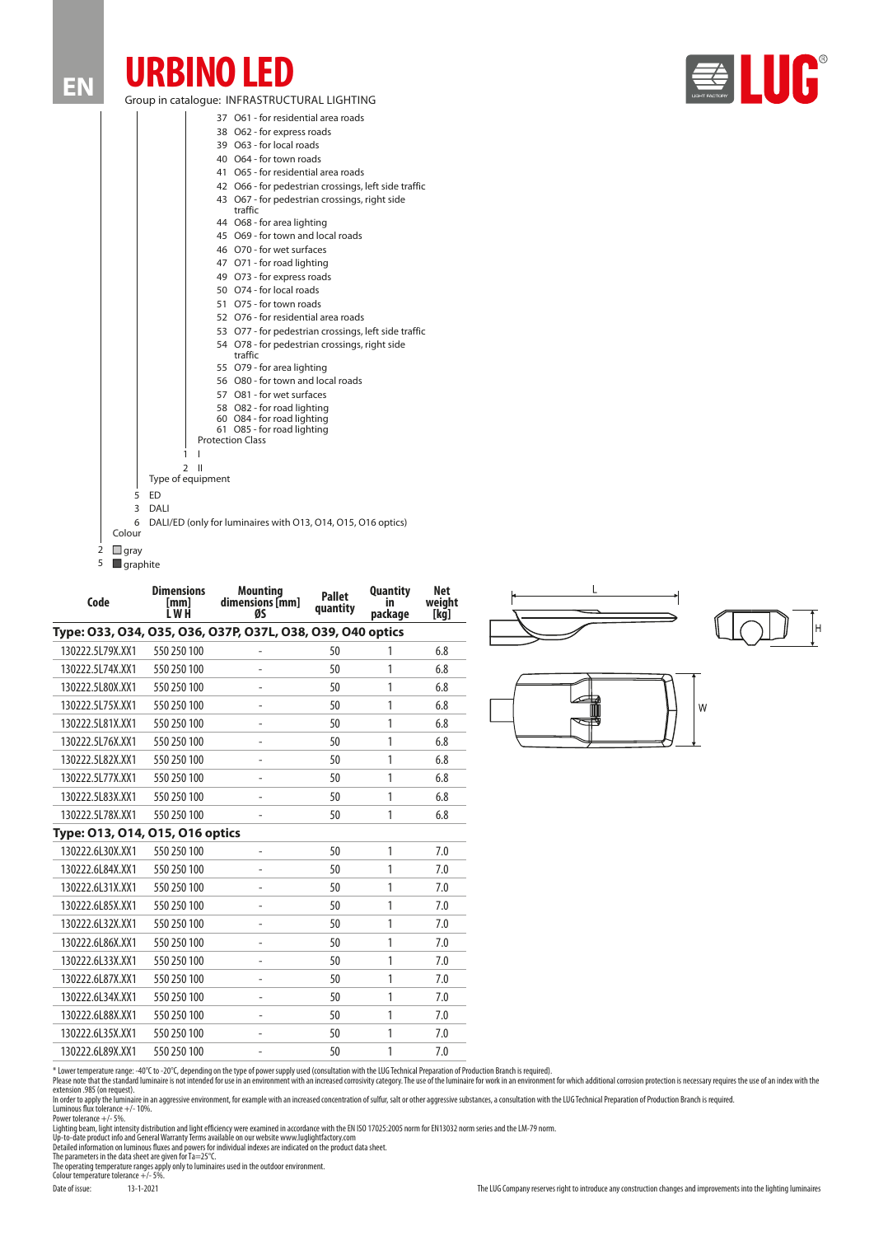## **URBINO LED** Group in catalogue: INFRASTRUCTURAL LIGHTING

**EN**

| <b>UGHT FACTORY</b> |  |  |
|---------------------|--|--|
|                     |  |  |

|   |                         | 37 O61 - for residential area roads                          |
|---|-------------------------|--------------------------------------------------------------|
|   |                         | 38 O62 - for express roads                                   |
|   |                         | 39 O63 - for local roads                                     |
|   |                         | 40 O64 - for town roads                                      |
|   |                         | 41 O65 - for residential area roads                          |
|   |                         | 42 O66 - for pedestrian crossings, left side traffic         |
|   |                         | 43 O67 - for pedestrian crossings, right side<br>traffic     |
|   |                         | 44 O68 - for area lighting                                   |
|   |                         | 45 O69 - for town and local roads                            |
|   |                         | 46 070 - for wet surfaces                                    |
|   |                         | 47 O71 - for road lighting                                   |
|   |                         | 49 O73 - for express roads                                   |
|   |                         | 50 O74 - for local roads                                     |
|   |                         | 51 O75 - for town roads                                      |
|   |                         | 52 O76 - for residential area roads                          |
|   |                         | 53 O77 - for pedestrian crossings, left side traffic         |
|   |                         | 54 O78 - for pedestrian crossings, right side<br>traffic     |
|   |                         | 55 O79 - for area lighting                                   |
|   |                         | 56 O80 - for town and local roads                            |
|   |                         | 57 O81 - for wet surfaces                                    |
|   |                         | 58 O82 - for road lighting                                   |
|   |                         | 60 O84 - for road lighting<br>61 O85 - for road lighting     |
|   |                         | <b>Protection Class</b>                                      |
|   |                         | 1                                                            |
|   |                         | C<br>Ш                                                       |
|   |                         | Type of equipment                                            |
|   | 5                       | F <sub>D</sub>                                               |
|   | 3                       | DALI                                                         |
|   | 6                       | DALI/ED (only for luminaires with 013, 014, 015, 016 optics) |
|   | Colour                  |                                                              |
| 2 | $\Box$ gray             |                                                              |
| 5 | $\blacksquare$ graphite |                                                              |

| Code                            | <b>Dimensions</b><br>[mm]<br>I W H | <b>Mounting</b><br>dimensions [mm]<br>ØS                   | <b>Pallet</b><br>quantity | <b>Quantity</b><br>package | <b>Net</b><br>weight<br>[kg] |
|---------------------------------|------------------------------------|------------------------------------------------------------|---------------------------|----------------------------|------------------------------|
|                                 |                                    | Type: 033, 034, 035, 036, 037P, 037L, 038, 039, 040 optics |                           |                            |                              |
| 130222.5L79X.XX1                | 550 250 100                        |                                                            | 50                        | 1                          | 6.8                          |
| 130222.5L74X.XX1                | 550 250 100                        | ۰                                                          | 50                        | 1                          | 6.8                          |
| 130222.5L80X.XX1                | 550 250 100                        | ۰                                                          | 50                        | 1                          | 6.8                          |
| 130222.5L75X.XX1                | 550 250 100                        | ۰                                                          | 50                        | 1                          | 6.8                          |
| 130222.5L81X.XX1                | 550 250 100                        | ۰                                                          | 50                        | 1                          | 6.8                          |
| 130222.5L76X.XX1                | 550 250 100                        |                                                            | 50                        | 1                          | 6.8                          |
| 130222.5L82X.XX1                | 550 250 100                        |                                                            | 50                        | 1                          | 6.8                          |
| 130222.5L77X.XX1                | 550 250 100                        | L,                                                         | 50                        | 1                          | 6.8                          |
| 130222.5L83X.XX1                | 550 250 100                        | ۰                                                          | 50                        | 1                          | 6.8                          |
| 130222.5L78X.XX1                | 550 250 100                        |                                                            | 50                        | 1                          | 6.8                          |
| Type: 013, 014, 015, 016 optics |                                    |                                                            |                           |                            |                              |
| 130222.6L30X.XX1                | 550 250 100                        | $\overline{\phantom{m}}$                                   | 50                        | 1                          | 7.0                          |
| 130222.6L84X.XX1                | 550 250 100                        |                                                            | 50                        | 1                          | 7.0                          |
| 130222.6L31X.XX1                | 550 250 100                        |                                                            | 50                        | 1                          | 7.0                          |
| 130222.6L85X.XX1                | 550 250 100                        | $\blacksquare$                                             | 50                        | 1                          | 7.0                          |
| 130222.6L32X.XX1                | 550 250 100                        | -                                                          | 50                        | 1                          | 7.0                          |
| 130222.6L86X.XX1                | 550 250 100                        | $\overline{\phantom{m}}$                                   | 50                        | 1                          | 7.0                          |
| 130222.6L33X.XX1                | 550 250 100                        | $\overline{\phantom{0}}$                                   | 50                        | 1                          | 7.0                          |
| 130222.6L87X.XX1                | 550 250 100                        | $\overline{\phantom{0}}$                                   | 50                        | 1                          | 7.0                          |
| 130222.6L34X.XX1                | 550 250 100                        | -                                                          | 50                        | 1                          | 7.0                          |
| 130222.6L88X.XX1                | 550 250 100                        | L,                                                         | 50                        | 1                          | 7.0                          |
| 130222.6L35X.XX1                | 550 250 100                        | ۰                                                          | 50                        | 1                          | 7.0                          |
| 130222.6L89X.XX1                | 550 250 100                        | $\qquad \qquad -$                                          | 50                        | 1                          | 7.0                          |





\* Lower temperature range: -40°C to -20°C, depending on the type of power supply used (consultation with the LUG Technical Preparation of Production Branch is required).<br>Please note that the standard luminaire in only cons

Lighting beam, light intensity distribution and light efficiency were examined in accordance with the EN ISO 17025:2005 norm for EN 13032 norm series and the LM-79 norm.<br>Up-to-date product info and General Warranty Terms a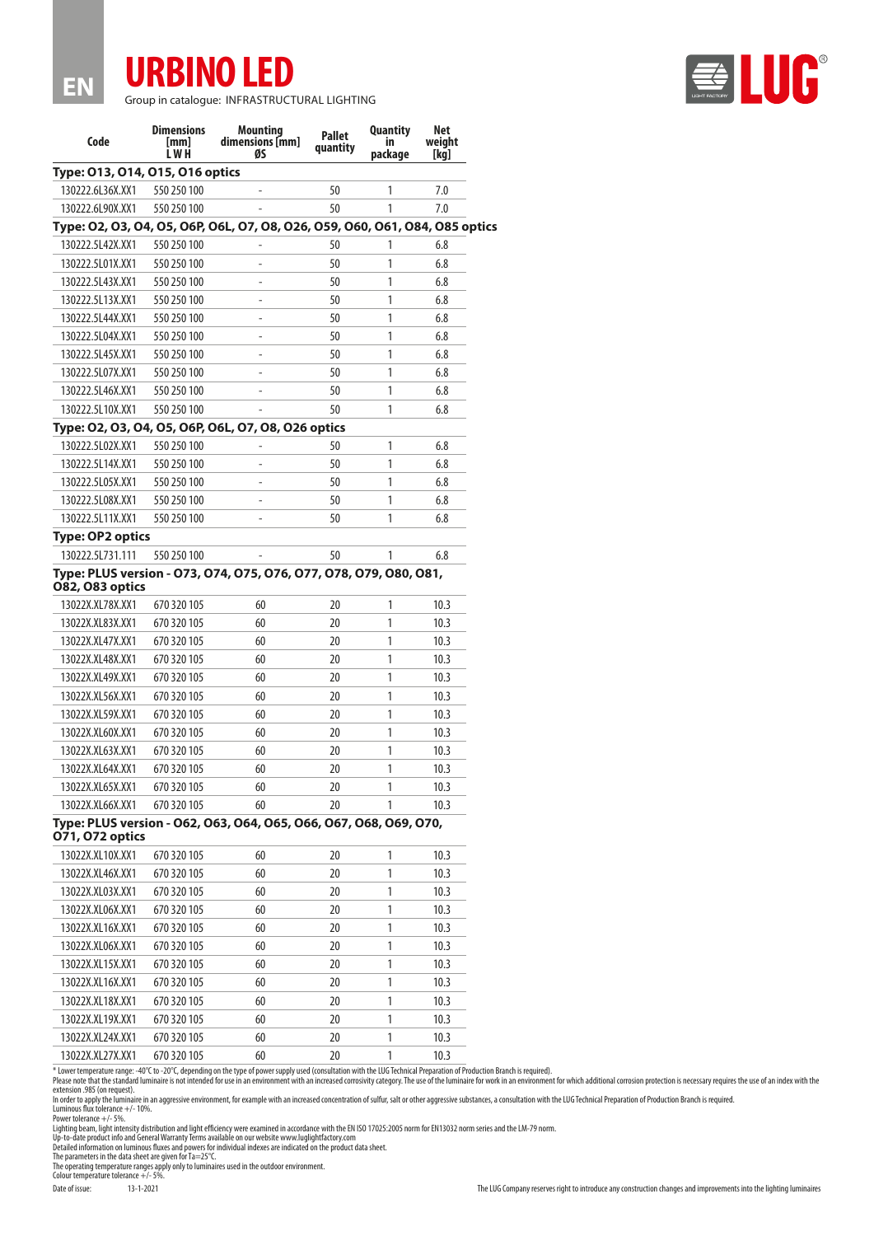

**EN**

Group in catalogue: INFRASTRUCTURAL LIGHTING

| Code                            | <b>Dimensions</b><br>[mm]<br>LWH | <b>Mounting</b><br>dimensions [mm]<br>ØS                                    | <b>Pallet</b><br>quantity | <b>Quantity</b><br>in<br>package | Net<br>weight<br>[kq] |
|---------------------------------|----------------------------------|-----------------------------------------------------------------------------|---------------------------|----------------------------------|-----------------------|
| Type: 013, 014, 015, 016 optics |                                  |                                                                             |                           |                                  |                       |
| 130222.6L36X.XX1                | 550 250 100                      |                                                                             | 50                        | 1                                | 7.0                   |
| 130222.6L90X.XX1                | 550 250 100                      |                                                                             | 50                        | 1                                | 7.0                   |
|                                 |                                  | Type: 02, 03, 04, 05, 06P, 06L, 07, 08, 026, 059, 060, 061, 084, 085 optics |                           |                                  |                       |
| 130222.5L42X.XX1                | 550 250 100                      |                                                                             | 50                        | 1                                | 6.8                   |
| 130222.5L01X.XX1                | 550 250 100                      |                                                                             | 50                        | 1                                | 6.8                   |
| 130222.5L43X.XX1                | 550 250 100                      | $\overline{\phantom{m}}$                                                    | 50                        | 1                                | 6.8                   |
| 130222.5L13X.XX1                | 550 250 100                      | $\overline{\phantom{m}}$                                                    | 50                        | 1                                | 6.8                   |
| 130222.5L44X.XX1                | 550 250 100                      | $\blacksquare$                                                              | 50                        | 1                                | 6.8                   |
| 130222.5L04X.XX1                | 550 250 100                      | $\blacksquare$                                                              | 50                        | 1                                | 6.8                   |
| 130222.5L45X.XX1                | 550 250 100                      | $\blacksquare$                                                              | 50                        | 1                                | 6.8                   |
| 130222.5L07X.XX1                | 550 250 100                      |                                                                             | 50                        | 1                                | 6.8                   |
| 130222.5L46X.XX1                | 550 250 100                      |                                                                             | 50                        | 1                                | 6.8                   |
| 130222.5L10X.XX1                | 550 250 100                      |                                                                             | 50                        | 1                                | 6.8                   |
|                                 |                                  | Type: 02, 03, 04, 05, 06P, 06L, 07, 08, 026 optics                          |                           |                                  |                       |
| 130222.5L02X.XX1                | 550 250 100                      |                                                                             | 50                        | 1                                | 6.8                   |
| 130222.5L14X.XX1                | 550 250 100                      |                                                                             | 50                        | 1                                | 6.8                   |
| 130222.5L05X.XX1                | 550 250 100                      |                                                                             | 50                        | 1                                | 6.8                   |
| 130222.5L08X.XX1                | 550 250 100                      |                                                                             | 50                        | 1                                | 6.8                   |
| 130222.5L11X.XX1                | 550 250 100                      |                                                                             | 50                        | 1                                | 6.8                   |
| <b>Type: OP2 optics</b>         |                                  |                                                                             |                           |                                  |                       |
| 130222.5L731.111                | 550 250 100                      |                                                                             | 50                        | 1                                | 6.8                   |
| 082, 083 optics                 |                                  | Type: PLUS version - 073, 074, 075, 076, 077, 078, 079, 080, 081,           |                           |                                  |                       |
| 13022X.XL78X.XX1                | 670 320 105                      | 60                                                                          | 20                        | 1                                | 10.3                  |
| 13022X.XL83X.XX1                | 670 320 105                      | 60                                                                          | 20                        | 1                                | 10.3                  |
| 13022X.XL47X.XX1                | 670 320 105                      | 60                                                                          | 20                        | 1                                | 10.3                  |
| 13022X.XL48X.XX1                | 670 320 105                      | 60                                                                          | 20                        | 1                                | 10.3                  |
| 13022X.XL49X.XX1                | 670 320 105                      | 60                                                                          | 20                        | 1                                | 10.3                  |
| 13022X.XL56X.XX1                | 670 320 105                      | 60                                                                          | 20                        | 1                                | 10.3                  |
| 13022X.XL59X.XX1                | 670 320 105                      | 60                                                                          | 20                        | 1                                | 10.3                  |
| 13022X.XL60X.XX1                | 670 320 105                      | 60                                                                          | 20                        | 1                                | 10.3                  |
| 13022X.XL63X.XX1                | 670 320 105                      | 60                                                                          | 20                        | 1                                | 10.3                  |
| 13022X.XL64X.XX1                | 670 320 105                      | 60                                                                          | 20                        | 1                                | 10.3                  |
| 13022X.XL65X.XX1                | 670 320 105                      | 60                                                                          | 20                        | 1                                | 10.3                  |
| 13022X.XL66X.XX1                | 670 320 105                      | 60                                                                          | 20                        | 1                                | 10.3                  |
| 071, 072 optics                 |                                  | Type: PLUS version - 062, 063, 064, 065, 066, 067, 068, 069, 070,           |                           |                                  |                       |
| 13022X.XL10X.XX1                | 670 320 105                      | 60                                                                          | 20                        | 1                                | 10.3                  |
| 13022X.XL46X.XX1                | 670 320 105                      | 60                                                                          | 20                        | 1                                | 10.3                  |
| 13022X.XL03X.XX1                | 670 320 105                      | 60                                                                          | 20                        | 1                                | 10.3                  |
| 13022X.XL06X.XX1                | 670 320 105                      | 60                                                                          | 20                        | 1                                | 10.3                  |
| 13022X.XL16X.XX1                | 670 320 105                      | 60                                                                          | 20                        | 1                                | 10.3                  |
| 13022X.XL06X.XX1                | 670 320 105                      | 60                                                                          | 20                        | 1                                | 10.3                  |
| 13022X.XL15X.XX1                | 670 320 105                      | 60                                                                          | 20                        | 1                                | 10.3                  |
| 13022X.XL16X.XX1                | 670 320 105                      | 60                                                                          | 20                        | 1                                | 10.3                  |
| 13022X.XL18X.XX1                | 670 320 105                      | 60                                                                          | 20                        | 1                                | 10.3                  |
| 13022X.XL19X.XX1                | 670 320 105                      | 60                                                                          | 20                        | 1                                | 10.3                  |
| 13022X.XL24X.XX1                | 670 320 105                      | 60                                                                          | 20                        | 1                                | 10.3                  |
| 13022X.XL27X.XX1                | 670 320 105                      | 60                                                                          | 20                        | 1                                | 10.3                  |

\* Lower temperature range: -40°C to -20°C, depending on the type of power supply used (consultation with the LUG Technical Preparation of Production Branch is required).<br>Please note that the standard luminaire in only cons

Lighting beam, light intensity distribution and light efficiency were examined in accordance with the EN ISO 17025:2005 norm for EN 13032 norm series and the LM-79 norm.<br>Up-to-date product info and General Warranty Terms a